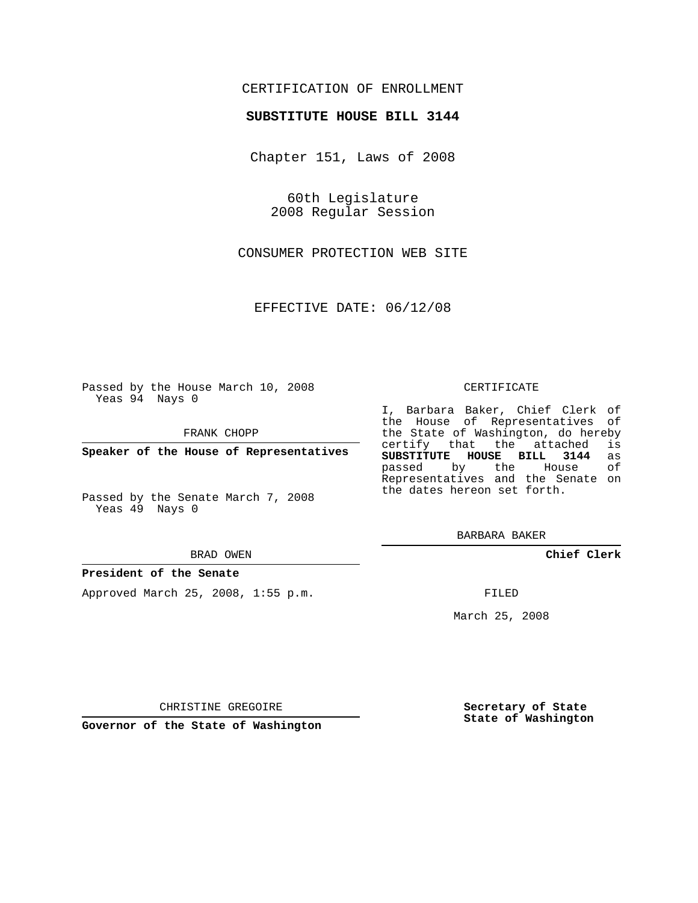# CERTIFICATION OF ENROLLMENT

## **SUBSTITUTE HOUSE BILL 3144**

Chapter 151, Laws of 2008

60th Legislature 2008 Regular Session

CONSUMER PROTECTION WEB SITE

EFFECTIVE DATE: 06/12/08

Passed by the House March 10, 2008 Yeas 94 Nays 0

FRANK CHOPP

**Speaker of the House of Representatives**

Passed by the Senate March 7, 2008 Yeas 49 Nays 0

#### BRAD OWEN

## **President of the Senate**

Approved March 25, 2008, 1:55 p.m.

#### CERTIFICATE

I, Barbara Baker, Chief Clerk of the House of Representatives of the State of Washington, do hereby certify that the attached is **SUBSTITUTE HOUSE BILL 3144** as passed by the House Representatives and the Senate on the dates hereon set forth.

BARBARA BAKER

**Chief Clerk**

FILED

March 25, 2008

CHRISTINE GREGOIRE

**Governor of the State of Washington**

**Secretary of State State of Washington**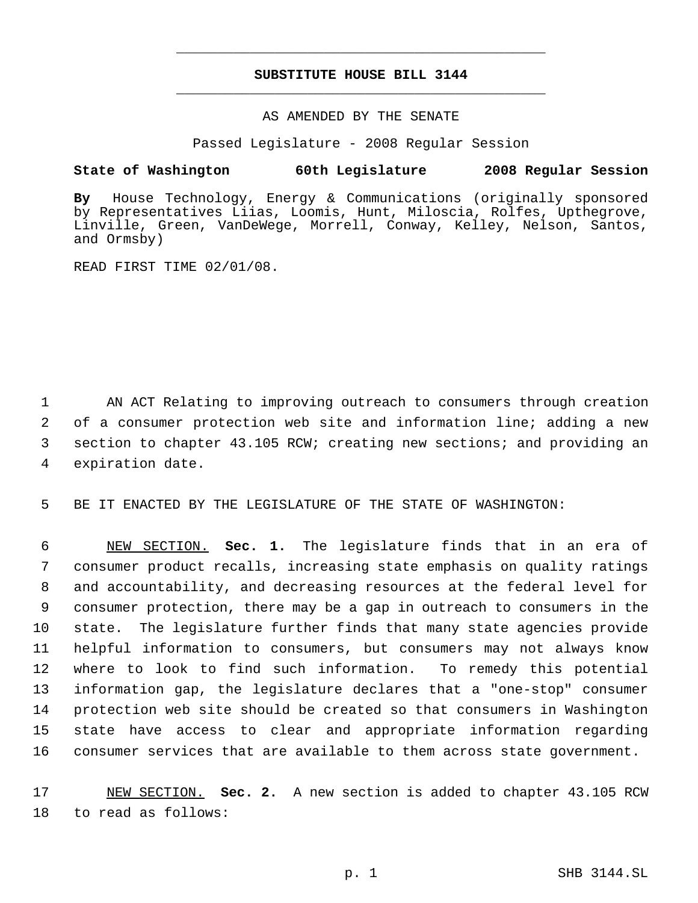# **SUBSTITUTE HOUSE BILL 3144** \_\_\_\_\_\_\_\_\_\_\_\_\_\_\_\_\_\_\_\_\_\_\_\_\_\_\_\_\_\_\_\_\_\_\_\_\_\_\_\_\_\_\_\_\_

\_\_\_\_\_\_\_\_\_\_\_\_\_\_\_\_\_\_\_\_\_\_\_\_\_\_\_\_\_\_\_\_\_\_\_\_\_\_\_\_\_\_\_\_\_

## AS AMENDED BY THE SENATE

Passed Legislature - 2008 Regular Session

# **State of Washington 60th Legislature 2008 Regular Session**

**By** House Technology, Energy & Communications (originally sponsored by Representatives Liias, Loomis, Hunt, Miloscia, Rolfes, Upthegrove, Linville, Green, VanDeWege, Morrell, Conway, Kelley, Nelson, Santos, and Ormsby)

READ FIRST TIME 02/01/08.

 AN ACT Relating to improving outreach to consumers through creation of a consumer protection web site and information line; adding a new section to chapter 43.105 RCW; creating new sections; and providing an expiration date.

5 BE IT ENACTED BY THE LEGISLATURE OF THE STATE OF WASHINGTON:

 NEW SECTION. **Sec. 1.** The legislature finds that in an era of consumer product recalls, increasing state emphasis on quality ratings and accountability, and decreasing resources at the federal level for consumer protection, there may be a gap in outreach to consumers in the state. The legislature further finds that many state agencies provide helpful information to consumers, but consumers may not always know where to look to find such information. To remedy this potential information gap, the legislature declares that a "one-stop" consumer protection web site should be created so that consumers in Washington state have access to clear and appropriate information regarding consumer services that are available to them across state government.

17 NEW SECTION. **Sec. 2.** A new section is added to chapter 43.105 RCW 18 to read as follows: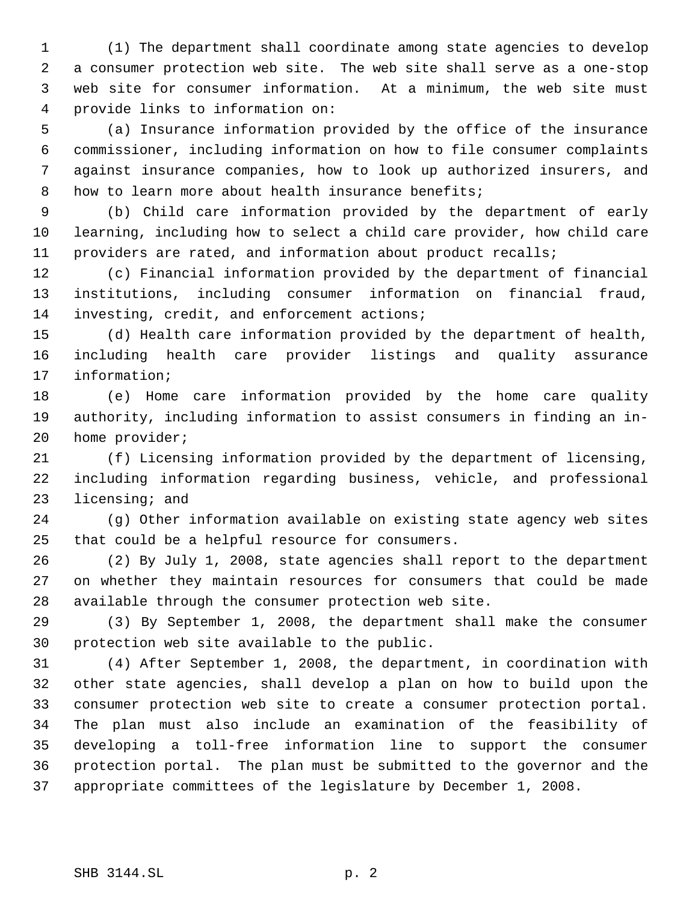(1) The department shall coordinate among state agencies to develop a consumer protection web site. The web site shall serve as a one-stop web site for consumer information. At a minimum, the web site must provide links to information on:

 (a) Insurance information provided by the office of the insurance commissioner, including information on how to file consumer complaints against insurance companies, how to look up authorized insurers, and how to learn more about health insurance benefits;

 (b) Child care information provided by the department of early learning, including how to select a child care provider, how child care providers are rated, and information about product recalls;

 (c) Financial information provided by the department of financial institutions, including consumer information on financial fraud, investing, credit, and enforcement actions;

 (d) Health care information provided by the department of health, including health care provider listings and quality assurance information;

 (e) Home care information provided by the home care quality authority, including information to assist consumers in finding an in-home provider;

 (f) Licensing information provided by the department of licensing, including information regarding business, vehicle, and professional licensing; and

 (g) Other information available on existing state agency web sites that could be a helpful resource for consumers.

 (2) By July 1, 2008, state agencies shall report to the department on whether they maintain resources for consumers that could be made available through the consumer protection web site.

 (3) By September 1, 2008, the department shall make the consumer protection web site available to the public.

 (4) After September 1, 2008, the department, in coordination with other state agencies, shall develop a plan on how to build upon the consumer protection web site to create a consumer protection portal. The plan must also include an examination of the feasibility of developing a toll-free information line to support the consumer protection portal. The plan must be submitted to the governor and the appropriate committees of the legislature by December 1, 2008.